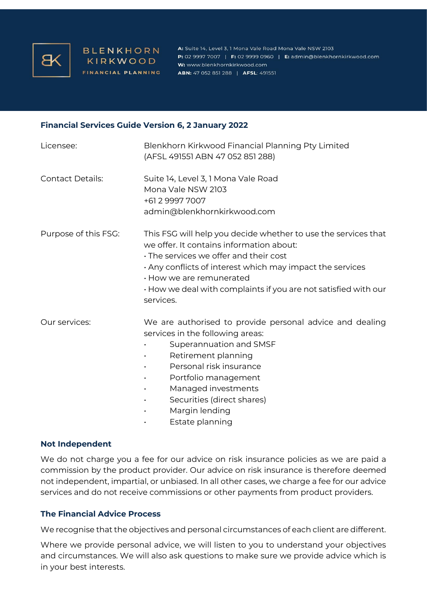

**BLENKHORN** KIRKWOOD FINANCIAL PLANNING

A: Suite 14, Level 3, 1 Mona Vale Road Mona Vale NSW 2103 P: 02 9997 7007 | F: 02 9999 0960 | E: admin@blenkhornkirkwood.com W: www.blenkhornkirkwood.com **ABN:** 47 052 851 288 | **AFSL:** 491551

#### **Financial Services Guide Version 6, 2 January 2022**

| Licensee:               | Blenkhorn Kirkwood Financial Planning Pty Limited<br>(AFSL 491551 ABN 47 052 851 288)                                                                                                                                                                                                                                                     |
|-------------------------|-------------------------------------------------------------------------------------------------------------------------------------------------------------------------------------------------------------------------------------------------------------------------------------------------------------------------------------------|
| <b>Contact Details:</b> | Suite 14, Level 3, 1 Mona Vale Road<br>Mona Vale NSW 2103<br>+61 2 9997 7007<br>admin@blenkhornkirkwood.com                                                                                                                                                                                                                               |
| Purpose of this FSG:    | This FSG will help you decide whether to use the services that<br>we offer. It contains information about:<br>· The services we offer and their cost<br>$\cdot$ Any conflicts of interest which may impact the services<br>· How we are remunerated<br>$\cdot$ How we deal with complaints if you are not satisfied with our<br>services. |
| Our services:           | We are authorised to provide personal advice and dealing<br>services in the following areas:<br>Superannuation and SMSF<br>Retirement planning<br>Personal risk insurance<br>$\bullet$<br>Portfolio management<br>$\bullet$<br>Managed investments<br>$\bullet$<br>Securities (direct shares)<br>Margin lending<br>Estate planning        |

#### **Not Independent**

We do not charge you a fee for our advice on risk insurance policies as we are paid a commission by the product provider. Our advice on risk insurance is therefore deemed not independent, impartial, or unbiased. In all other cases, we charge a fee for our advice services and do not receive commissions or other payments from product providers.

## **The Financial Advice Process**

We recognise that the objectives and personal circumstances of each client are different.

Where we provide personal advice, we will listen to you to understand your objectives and circumstances. We will also ask questions to make sure we provide advice which is in your best interests.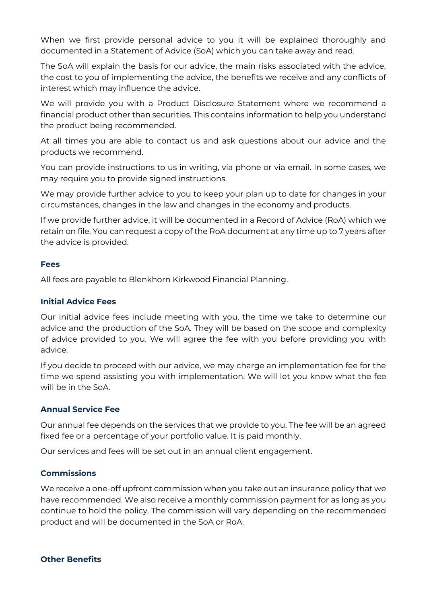When we first provide personal advice to you it will be explained thoroughly and documented in a Statement of Advice (SoA) which you can take away and read.

The SoA will explain the basis for our advice, the main risks associated with the advice, the cost to you of implementing the advice, the benefits we receive and any conflicts of interest which may influence the advice.

We will provide you with a Product Disclosure Statement where we recommend a financial product other than securities. This contains information to help you understand the product being recommended.

At all times you are able to contact us and ask questions about our advice and the products we recommend.

You can provide instructions to us in writing, via phone or via email. In some cases, we may require you to provide signed instructions.

We may provide further advice to you to keep your plan up to date for changes in your circumstances, changes in the law and changes in the economy and products.

If we provide further advice, it will be documented in a Record of Advice (RoA) which we retain on file. You can request a copy of the RoA document at any time up to 7 years after the advice is provided.

# **Fees**

All fees are payable to Blenkhorn Kirkwood Financial Planning.

# **Initial Advice Fees**

Our initial advice fees include meeting with you, the time we take to determine our advice and the production of the SoA. They will be based on the scope and complexity of advice provided to you. We will agree the fee with you before providing you with advice.

If you decide to proceed with our advice, we may charge an implementation fee for the time we spend assisting you with implementation. We will let you know what the fee will be in the SoA.

## **Annual Service Fee**

Our annual fee depends on the services that we provide to you. The fee will be an agreed fixed fee or a percentage of your portfolio value. It is paid monthly.

Our services and fees will be set out in an annual client engagement.

## **Commissions**

We receive a one-off upfront commission when you take out an insurance policy that we have recommended. We also receive a monthly commission payment for as long as you continue to hold the policy. The commission will vary depending on the recommended product and will be documented in the SoA or RoA.